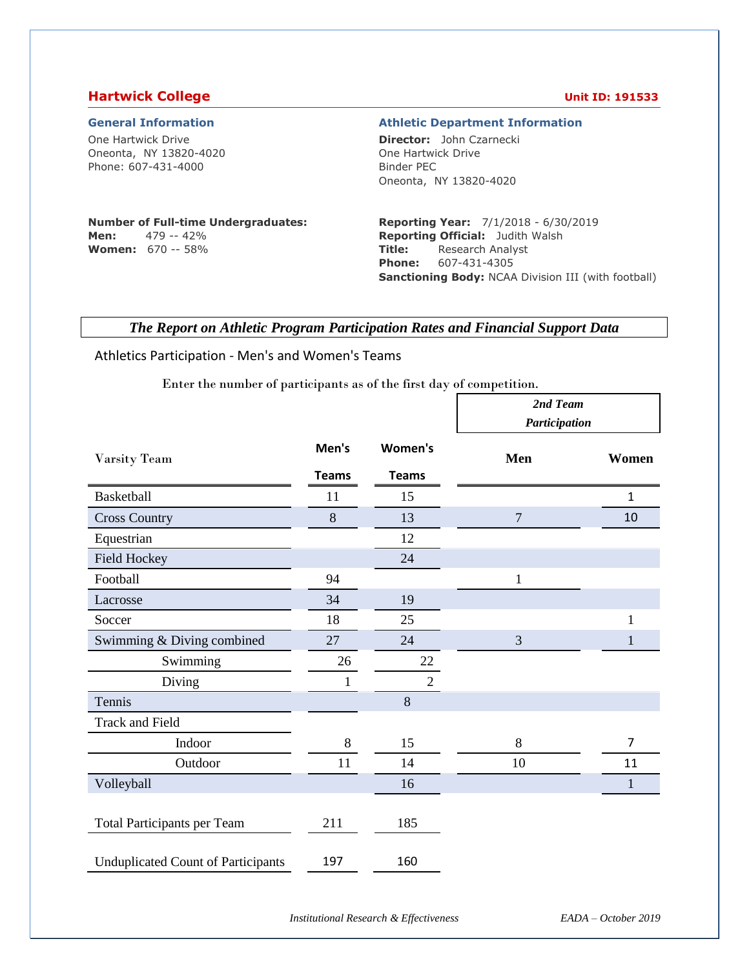### **Hartwick College Unit ID: 191533**

One Hartwick Drive Oneonta, NY 13820-4020 Phone: 607-431-4000

#### **General Information Athletic Department Information**

**Director:** John Czarnecki One Hartwick Drive Binder PEC Oneonta, NY 13820-4020

### **Number of Full-time Undergraduates: Men:** 479 -- 42%

**Women:** 670 -- 58%

#### **Reporting Year:** 7/1/2018 - 6/30/2019 **Reporting Official:** Judith Walsh **Title:** Research Analyst **Phone:** 607-431-4305 **Sanctioning Body:** NCAA Division III (with football)

## *The Report on Athletic Program Participation Rates and Financial Support Data*

#### Athletics Participation - Men's and Women's Teams

Enter the number of participants as of the first day of competition.

|                                           |              |                | 2nd Team<br>Participation |              |  |
|-------------------------------------------|--------------|----------------|---------------------------|--------------|--|
| Varsity Team                              | Men's        | Women's        | Men                       | Women        |  |
|                                           | <b>Teams</b> | <b>Teams</b>   |                           |              |  |
| Basketball                                | 11           | 15             |                           | $\mathbf{1}$ |  |
| <b>Cross Country</b>                      | 8            | 13             | $\overline{7}$            | 10           |  |
| Equestrian                                |              | 12             |                           |              |  |
| Field Hockey                              |              | 24             |                           |              |  |
| Football                                  | 94           |                | $\mathbf{1}$              |              |  |
| Lacrosse                                  | 34           | 19             |                           |              |  |
| Soccer                                    | 18           | 25             |                           |              |  |
| Swimming & Diving combined                | 27           | 24             | 3                         |              |  |
| Swimming                                  | 26           | 22             |                           |              |  |
| Diving                                    | 1            | $\overline{2}$ |                           |              |  |
| Tennis                                    |              | 8              |                           |              |  |
| <b>Track and Field</b>                    |              |                |                           |              |  |
| Indoor                                    | $8\,$        | 15             | 8                         | 7            |  |
| Outdoor                                   | 11           | 14             | 10                        | 11           |  |
| Volleyball                                |              | 16             |                           | $\mathbf{1}$ |  |
| <b>Total Participants per Team</b>        | 211          | 185            |                           |              |  |
| <b>Unduplicated Count of Participants</b> | 197          | 160            |                           |              |  |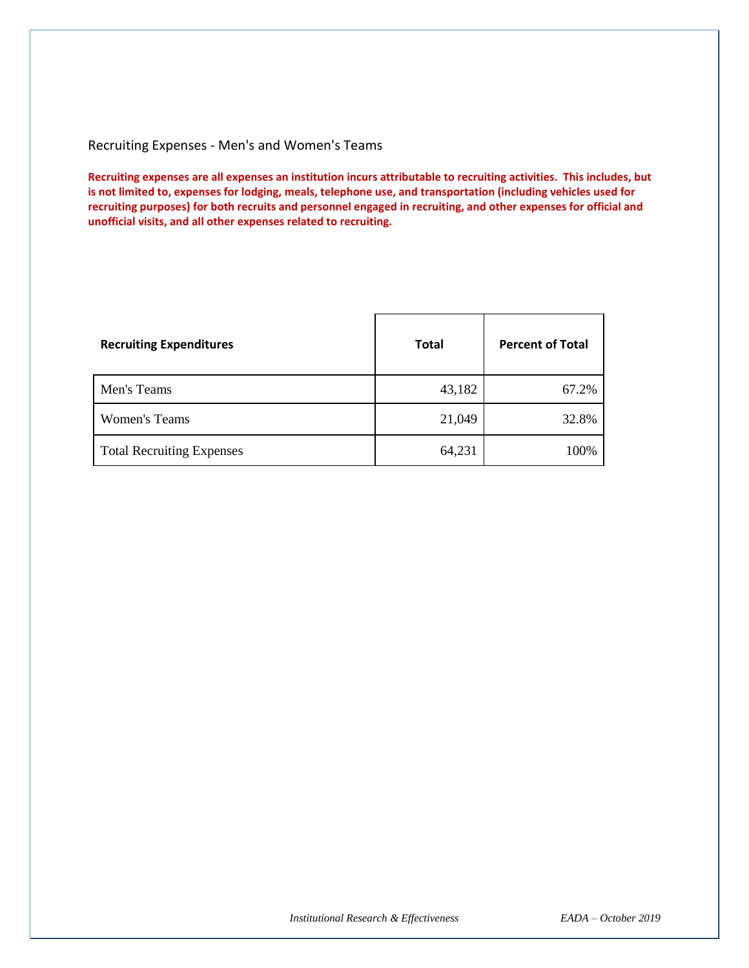### Recruiting Expenses - Men's and Women's Teams

**Recruiting expenses are all expenses an institution incurs attributable to recruiting activities. This includes, but is not limited to, expenses for lodging, meals, telephone use, and transportation (including vehicles used for recruiting purposes) for both recruits and personnel engaged in recruiting, and other expenses for official and unofficial visits, and all other expenses related to recruiting.** 

| <b>Recruiting Expenditures</b>   | <b>Total</b> | <b>Percent of Total</b> |
|----------------------------------|--------------|-------------------------|
| Men's Teams                      | 43,182       | 67.2%                   |
| <b>Women's Teams</b>             | 21,049       | 32.8%                   |
| <b>Total Recruiting Expenses</b> | 64,231       | 100%                    |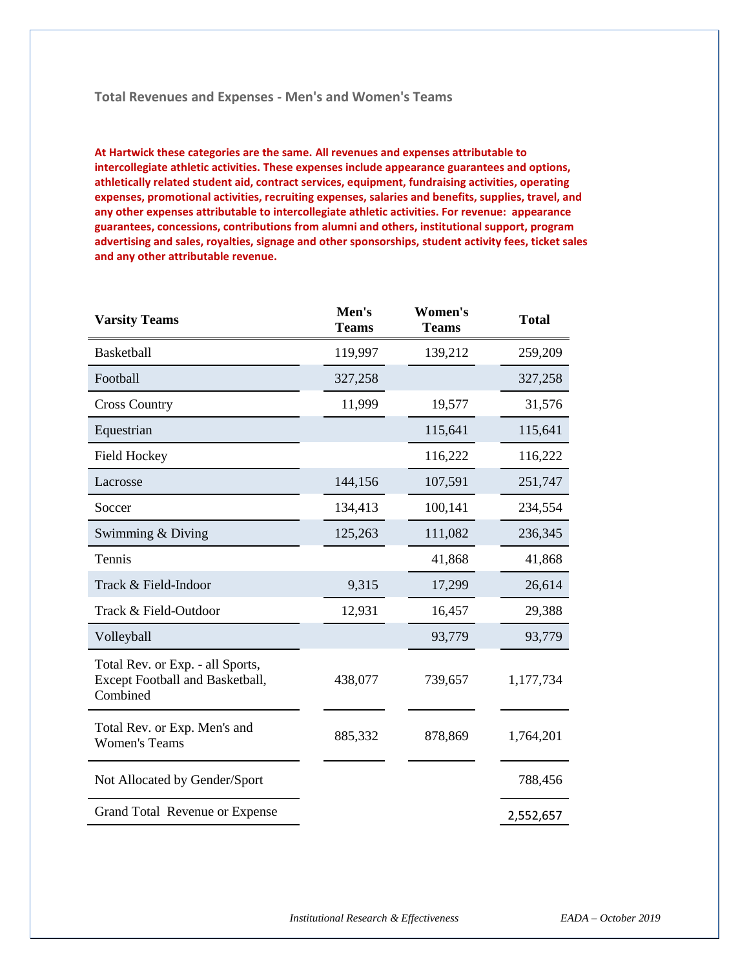#### **Total Revenues and Expenses - Men's and Women's Teams**

**At Hartwick these categories are the same. All revenues and expenses attributable to intercollegiate athletic activities. These expenses include appearance guarantees and options, athletically related student aid, contract services, equipment, fundraising activities, operating expenses, promotional activities, recruiting expenses, salaries and benefits, supplies, travel, and any other expenses attributable to intercollegiate athletic activities. For revenue: appearance guarantees, concessions, contributions from alumni and others, institutional support, program advertising and sales, royalties, signage and other sponsorships, student activity fees, ticket sales and any other attributable revenue.**

| <b>Varsity Teams</b>                                                            | Men's<br><b>Teams</b> | Women's<br><b>Teams</b> | <b>Total</b> |
|---------------------------------------------------------------------------------|-----------------------|-------------------------|--------------|
| <b>Basketball</b>                                                               | 119,997               | 139,212                 | 259,209      |
| Football                                                                        | 327,258               |                         | 327,258      |
| <b>Cross Country</b>                                                            | 11,999                | 19,577                  | 31,576       |
| Equestrian                                                                      |                       | 115,641                 | 115,641      |
| <b>Field Hockey</b>                                                             |                       | 116,222                 | 116,222      |
| Lacrosse                                                                        | 144,156               | 107,591                 | 251,747      |
| Soccer                                                                          | 134,413               | 100,141                 | 234,554      |
| Swimming & Diving                                                               | 125,263               | 111,082                 | 236,345      |
| Tennis                                                                          |                       | 41,868                  | 41,868       |
| Track & Field-Indoor                                                            | 9,315                 | 17,299                  | 26,614       |
| Track & Field-Outdoor                                                           | 12,931                | 16,457                  | 29,388       |
| Volleyball                                                                      |                       | 93,779                  | 93,779       |
| Total Rev. or Exp. - all Sports,<br>Except Football and Basketball,<br>Combined | 438,077               | 739,657                 | 1,177,734    |
| Total Rev. or Exp. Men's and<br><b>Women's Teams</b>                            | 885,332               | 878,869                 | 1,764,201    |
| Not Allocated by Gender/Sport                                                   |                       |                         | 788,456      |
| Grand Total Revenue or Expense                                                  |                       |                         | 2,552,657    |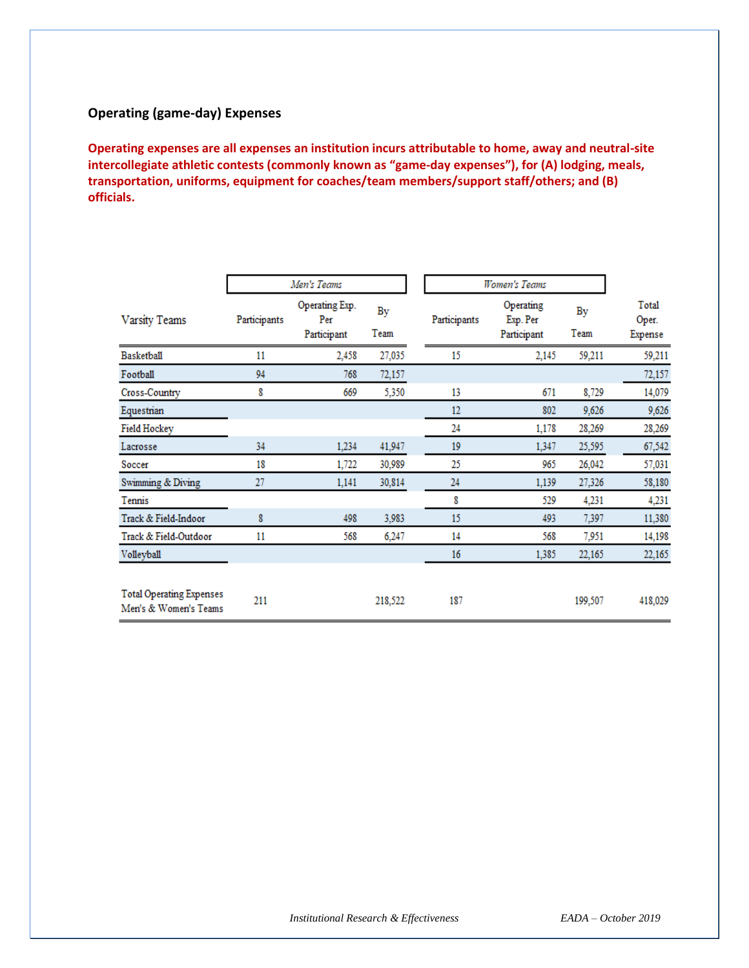## **Operating (game-day) Expenses**

**Operating expenses are all expenses an institution incurs attributable to home, away and neutral-site intercollegiate athletic contests (commonly known as "game-day expenses"), for (A) lodging, meals, transportation, uniforms, equipment for coaches/team members/support staff/others; and (B) officials.**

|                                                          |              | Men's Teams                          |            | Women's Teams |                                      |            |                           |
|----------------------------------------------------------|--------------|--------------------------------------|------------|---------------|--------------------------------------|------------|---------------------------|
| Varsity Teams                                            | Participants | Operating Exp.<br>Per<br>Participant | By<br>Team | Participants  | Operating<br>Exp. Per<br>Participant | By<br>Team | Total<br>Oper.<br>Expense |
| Basketball                                               | 11           | 2,458                                | 27,035     | 15            | 2,145                                | 59,211     | 59,211                    |
| Football                                                 | 94           | 768                                  | 72,157     |               |                                      |            | 72,157                    |
| Cross-Country                                            | 8            | 669                                  | 5,350      | 13            | 671                                  | 8,729      | 14,079                    |
| Equestrian                                               |              |                                      |            | $12 \,$       | 802                                  | 9,626      | 9,626                     |
| <b>Field Hockey</b>                                      |              |                                      |            | 24            | 1,178                                | 28,269     | 28,269                    |
| Lacrosse                                                 | 34           | 1,234                                | 41,947     | 19            | 1,347                                | 25,595     | 67,542                    |
| Soccer                                                   | 18           | 1,722                                | 30,989     | 25            | 965                                  | 26,042     | 57,031                    |
| Swimming & Diving                                        | 27           | 1,141                                | 30,814     | 24            | 1,139                                | 27,326     | 58,180                    |
| Tennis                                                   |              |                                      |            | 8             | 529                                  | 4,231      | 4,231                     |
| Track & Field-Indoor                                     | 8            | 498                                  | 3,983      | 15            | 493                                  | 7,397      | 11,380                    |
| Track & Field-Outdoor                                    | 11           | 568                                  | 6,247      | 14            | 568                                  | 7,951      | 14,198                    |
| Volleyball                                               |              |                                      |            | 16            | 1,385                                | 22,165     | 22,165                    |
| <b>Total Operating Expenses</b><br>Men's & Women's Teams | 211          |                                      | 218,522    | 187           |                                      | 199,507    | 418,029                   |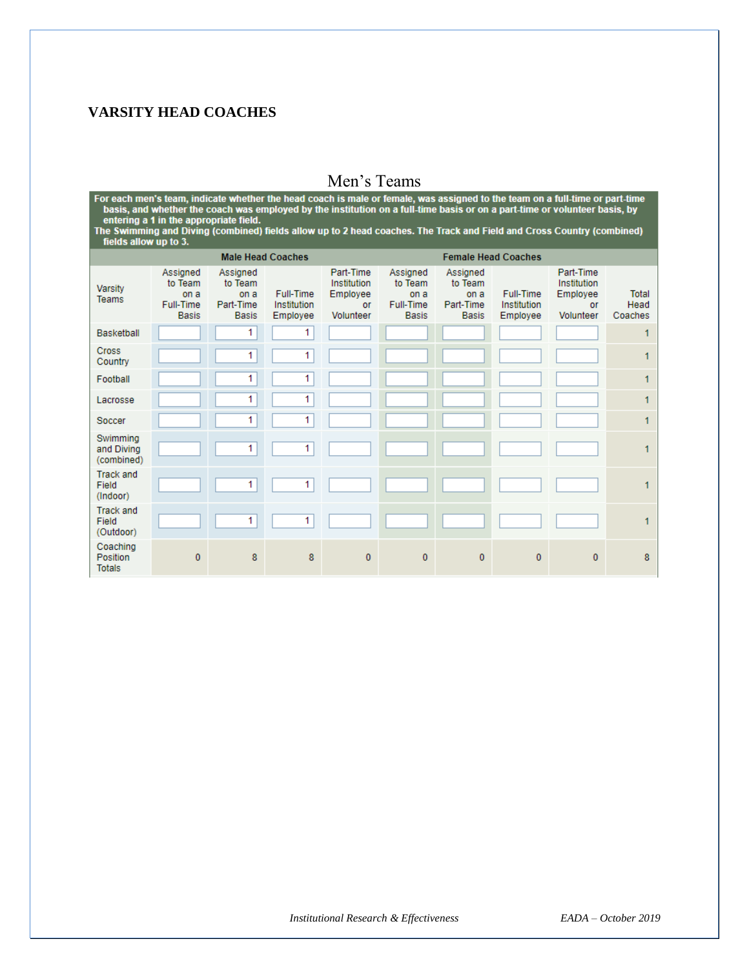# **VARSITY HEAD COACHES**

Men's Teams<br>For each men's team, indicate whether the head coach is male or female, was assigned to the team on a full-time or part-time<br>basis, and whether the coach was employed by the institution on a full-time basis or

| <b>Male Head Coaches</b>               |                                                                 |                                                          |                                      |                                                         |                                                          |                                                          | <b>Female Head Coaches</b>           |                                                         |                                 |
|----------------------------------------|-----------------------------------------------------------------|----------------------------------------------------------|--------------------------------------|---------------------------------------------------------|----------------------------------------------------------|----------------------------------------------------------|--------------------------------------|---------------------------------------------------------|---------------------------------|
| Varsity<br><b>Teams</b>                | Assigned<br>to Team<br>on a<br><b>Full-Time</b><br><b>Basis</b> | Assigned<br>to Team<br>on a<br>Part-Time<br><b>Basis</b> | Full-Time<br>Institution<br>Employee | Part-Time<br>Institution<br>Employee<br>or<br>Volunteer | Assigned<br>to Team<br>on a<br>Full-Time<br><b>Basis</b> | Assigned<br>to Team<br>on a<br>Part-Time<br><b>Basis</b> | Full-Time<br>Institution<br>Employee | Part-Time<br>Institution<br>Employee<br>or<br>Volunteer | <b>Total</b><br>Head<br>Coaches |
| <b>Basketball</b>                      |                                                                 | 1                                                        | 1                                    |                                                         |                                                          |                                                          |                                      |                                                         | 1                               |
| <b>Cross</b><br>Country                |                                                                 | 1                                                        | 1                                    |                                                         |                                                          |                                                          |                                      |                                                         |                                 |
| Football                               |                                                                 | 1                                                        | 1                                    |                                                         |                                                          |                                                          |                                      |                                                         |                                 |
| Lacrosse                               |                                                                 | 1                                                        | 1                                    |                                                         |                                                          |                                                          |                                      |                                                         | 1                               |
| Soccer                                 |                                                                 | 1                                                        | 1                                    |                                                         |                                                          |                                                          |                                      |                                                         |                                 |
| Swimming<br>and Diving<br>(combined)   |                                                                 | 1                                                        | 1                                    |                                                         |                                                          |                                                          |                                      |                                                         | 1                               |
| <b>Track and</b><br>Field<br>(Indoor)  |                                                                 | 1                                                        | 1                                    |                                                         |                                                          |                                                          |                                      |                                                         |                                 |
| <b>Track and</b><br>Field<br>(Outdoor) |                                                                 | 1                                                        | $\mathbf{1}$                         |                                                         |                                                          |                                                          |                                      |                                                         | 1                               |
| Coaching<br>Position<br><b>Totals</b>  | $\mathbf{0}$                                                    | 8                                                        | 8                                    | $\mathbf{0}$                                            | $\mathbf{0}$                                             | $\mathbf{0}$                                             | $\mathbf{0}$                         | $\mathbf{0}$                                            | 8                               |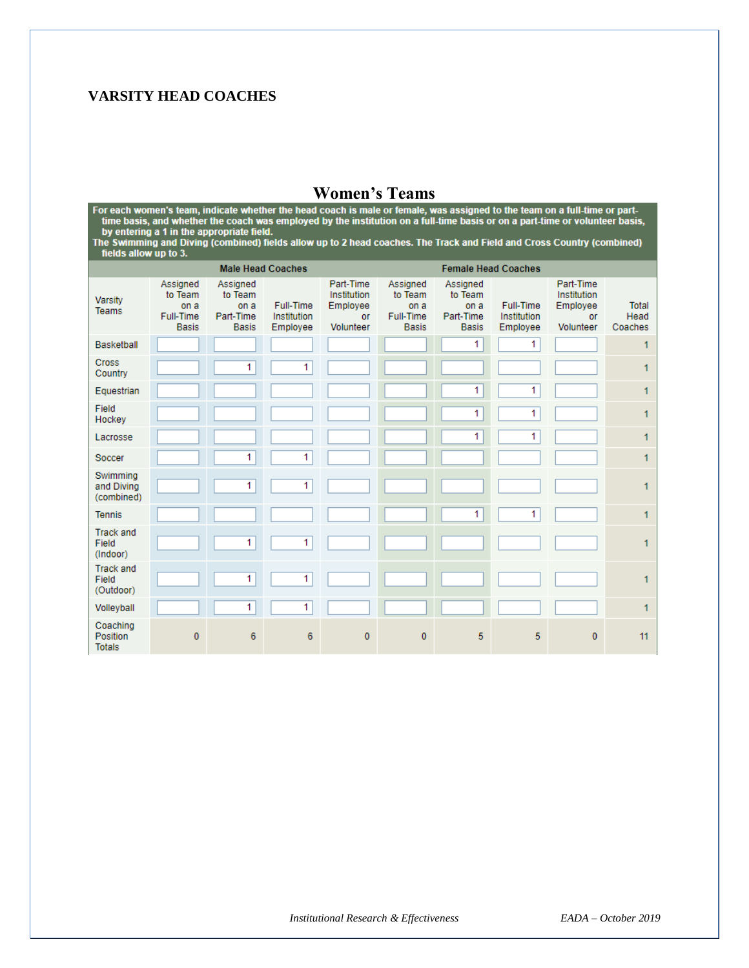# **VARSITY HEAD COACHES**

**Women's Teams**<br>For each women's team, indicate whether the head coach is male or female, was assigned to the team on a full-time or part-<br>time basis, and whether the coach was employed by the institution on a full-time ba

|                                        |                                                          | <b>Male Head Coaches</b>                                 |                                      |                                                         |                                                          |                                                          | <b>Female Head Coaches</b>           |                                                         |                                 |
|----------------------------------------|----------------------------------------------------------|----------------------------------------------------------|--------------------------------------|---------------------------------------------------------|----------------------------------------------------------|----------------------------------------------------------|--------------------------------------|---------------------------------------------------------|---------------------------------|
| Varsity<br><b>Teams</b>                | Assigned<br>to Team<br>on a<br>Full-Time<br><b>Basis</b> | Assigned<br>to Team<br>on a<br>Part-Time<br><b>Basis</b> | Full-Time<br>Institution<br>Employee | Part-Time<br>Institution<br>Employee<br>or<br>Volunteer | Assigned<br>to Team<br>on a<br>Full-Time<br><b>Basis</b> | Assigned<br>to Team<br>on a<br>Part-Time<br><b>Basis</b> | Full-Time<br>Institution<br>Employee | Part-Time<br>Institution<br>Employee<br>or<br>Volunteer | <b>Total</b><br>Head<br>Coaches |
| Basketball                             |                                                          |                                                          |                                      |                                                         |                                                          | 1                                                        | 1                                    |                                                         | 1                               |
| <b>Cross</b><br>Country                |                                                          | 1                                                        | 1                                    |                                                         |                                                          |                                                          |                                      |                                                         | 1                               |
| Equestrian                             |                                                          |                                                          |                                      |                                                         |                                                          | 1                                                        | 1                                    |                                                         | 1                               |
| Field<br>Hockey                        |                                                          |                                                          |                                      |                                                         |                                                          | 1                                                        | 1                                    |                                                         | 1                               |
| Lacrosse                               |                                                          |                                                          |                                      |                                                         |                                                          | 1                                                        | 1                                    |                                                         | 1                               |
| Soccer                                 |                                                          | 1.                                                       | 1                                    |                                                         |                                                          |                                                          |                                      |                                                         | 1                               |
| Swimming<br>and Diving<br>(combined)   |                                                          | 1                                                        | 1                                    |                                                         |                                                          |                                                          |                                      |                                                         | 1                               |
| <b>Tennis</b>                          |                                                          |                                                          |                                      |                                                         |                                                          | 1                                                        | 1                                    |                                                         | 1                               |
| <b>Track and</b><br>Field<br>(Indoor)  |                                                          | 1                                                        | 1                                    |                                                         |                                                          |                                                          |                                      |                                                         | 1                               |
| <b>Track and</b><br>Field<br>(Outdoor) |                                                          | 1                                                        | 1                                    |                                                         |                                                          |                                                          |                                      |                                                         | 1                               |
| Volleyball                             |                                                          | 1                                                        | 1                                    |                                                         |                                                          |                                                          |                                      |                                                         | 1                               |
| Coaching<br>Position<br><b>Totals</b>  | 0                                                        | 6                                                        | 6                                    | $\mathbf{0}$                                            | 0                                                        | 5                                                        | 5                                    | $\mathbf{0}$                                            | 11                              |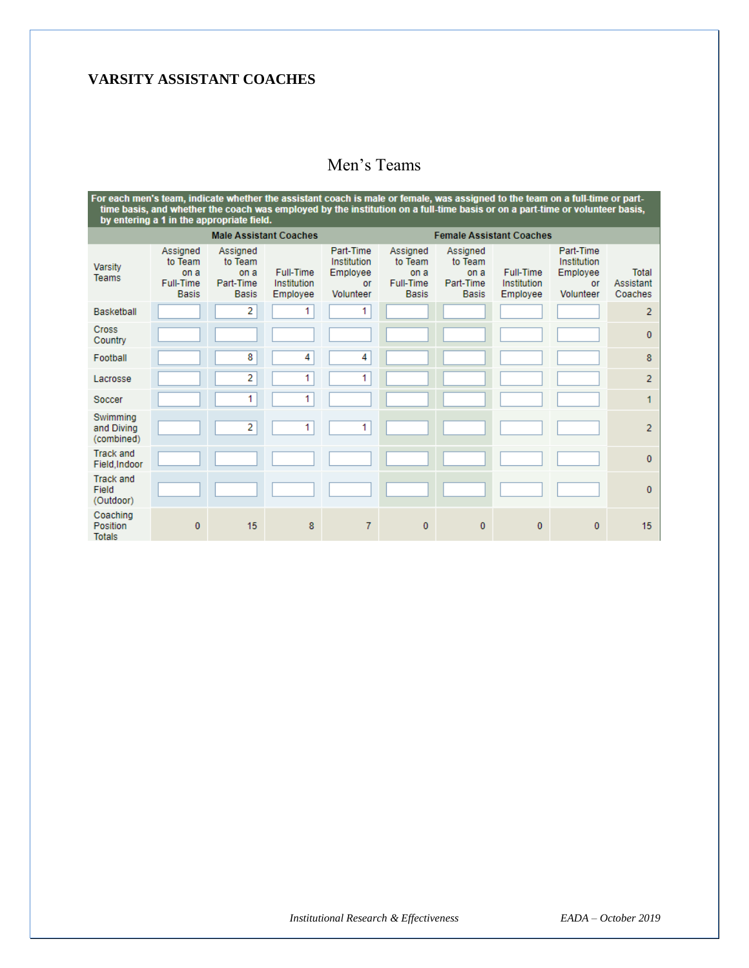## **VARSITY ASSISTANT COACHES**

#### For each men's team, indicate whether the assistant coach is male or female, was assigned to the team on a full-time or part-<br>time basis, and whether the coach was employed by the institution on a full-time basis or on a p **Male Assistant Coaches Female Assistant Coaches** Assigned Part-Time Part-Time Assigned Assigned Assigned to Team to Team Institution to Team to Team Institution Varsity Full-Time Full-Time Employee Employee Total on a on a on a on a Teams Full-Time Part-Time Full-Time Part-Time Institution or Institution or Assistant Basis **Basis** Employee Volunteer Basis Basis Employee Volunteer Coaches Basketball  $\overline{2}$  $\overline{1}$  $\overline{1}$  $\overline{2}$ Cross  $\pmb{0}$ Country  $\overline{\mathbf{8}}$  $\overline{4}$  $\overline{4}$ Football 8  $\overline{2}$  $\overline{1}$  $\overline{1}$ Lacrosse  $\overline{2}$  $\overline{1}$  $\overline{1}$  $\overline{1}$ Soccer Swimming  $\overline{2}$  $\overline{1}$  $\overline{1}$ and Diving  $\overline{2}$ (combined) **Track and**  $\mathbf{0}$ Field, Indoor **Track and** Field  $\pmb{0}$ (Outdoor) Coaching Position  $\pmb{0}$ 15 8  $\boldsymbol{7}$  $\pmb{0}$  $\pmb{0}$  $\pmb{0}$  $\pmb{0}$ 15 Totals

# Men's Teams

*Institutional Research & Effectiveness EADA – October 2019*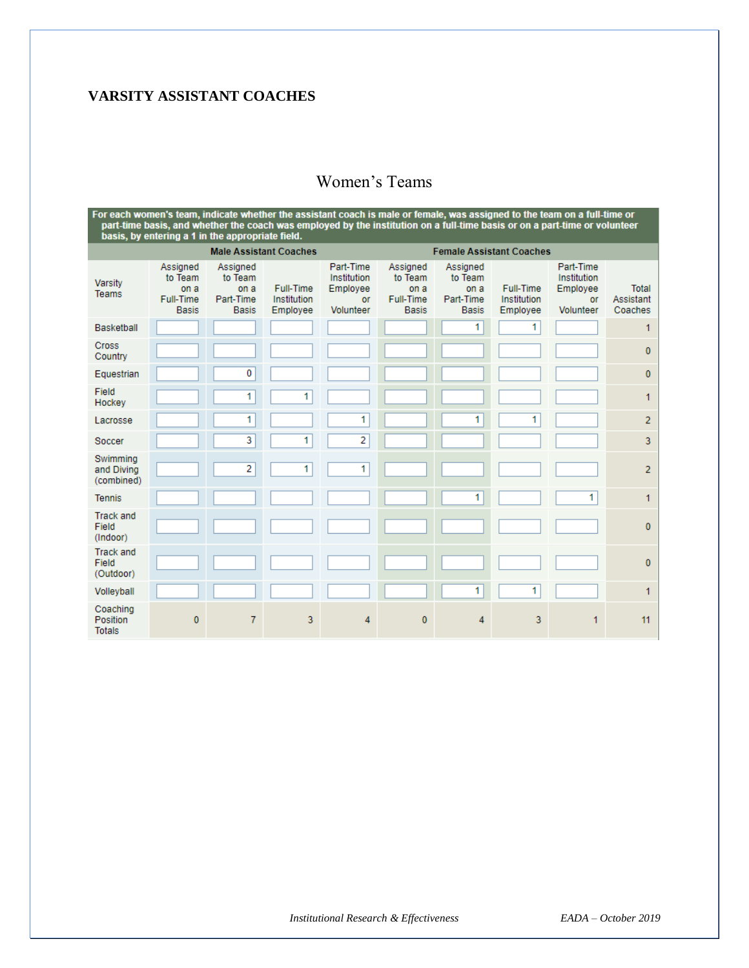# **VARSITY ASSISTANT COACHES**

# Women's Teams

For each women's team, indicate whether the assistant coach is male or female, was assigned to the team on a full-time or<br>part-time basis, and whether the coach was employed by the institution on a full-time basis or on a **Male Assistant Coaches Female Assistant Coaches** Assigned Assigned Part-Time Assigned Assigned Part-Time to Team to Team Institution to Team to Team Institution Varsity Full-Time Full-Time Employee **Total** on a on a Employee on a on a Teams Full-Time Full-Time Part-Time Institution or Part-Time Institution or Assistant **Basis Basis** Employee Volunteer **Basis Basis** Employee Volunteer Coaches Basketball  $\mathbf{1}$ 1 1 Cross  $\pmb{0}$ Country  $\overline{\mathbf{0}}$ Equestrian  $\pmb{0}$ Field  $\overline{1}$  $1$ 1 Hockey  $\mathbf{1}$  $\blacksquare$  $\mathbf{1}$  $\overline{1}$ Lacrosse  $\overline{2}$ 3  $1\vert$  $\overline{2}$ Soccer 3 Swimming  $\overline{2}$  $\overline{1}$ 1 and Diving  $\overline{\mathbf{c}}$ (combined)  $\overline{1}$  $\mathbf{1}$ Tennis 1 **Track and** Field  $\pmb{0}$ (Indoor) **Track and** Field  $\pmb{0}$ (Outdoor) Volleyball  $\overline{1}$  $\overline{1}$ 1 Coaching Position  $\overline{\mathbf{0}}$  $\overline{7}$  $\overline{3}$  $\overline{4}$  $\pmb{0}$  $\overline{4}$ 3 1  $11$ **Totals**